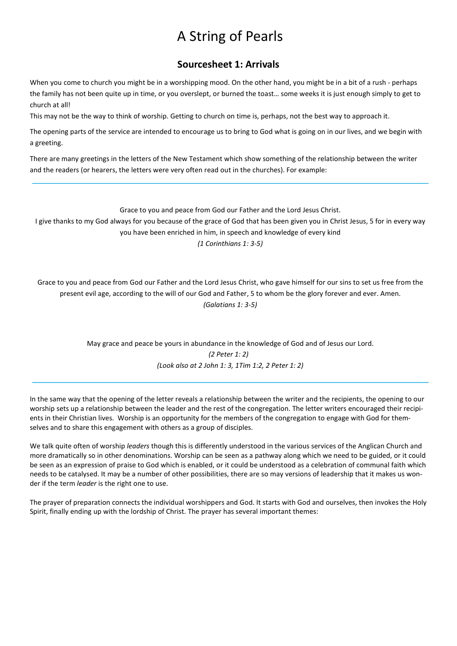# A String of Pearls

### Sourcesheet 1: Arrivals

When you come to church you might be in a worshipping mood. On the other hand, you might be in a bit of a rush - perhaps the family has not been quite up in time, or you overslept, or burned the toast… some weeks it is just enough simply to get to church at all!

This may not be the way to think of worship. Getting to church on time is, perhaps, not the best way to approach it.

The opening parts of the service are intended to encourage us to bring to God what is going on in our lives, and we begin with a greeting.

There are many greetings in the letters of the New Testament which show something of the relationship between the writer and the readers (or hearers, the letters were very often read out in the churches). For example:

Grace to you and peace from God our Father and the Lord Jesus Christ.

I give thanks to my God always for you because of the grace of God that has been given you in Christ Jesus, 5 for in every way you have been enriched in him, in speech and knowledge of every kind

(1 Corinthians 1: 3-5)

Grace to you and peace from God our Father and the Lord Jesus Christ, who gave himself for our sins to set us free from the present evil age, according to the will of our God and Father, 5 to whom be the glory forever and ever. Amen. (Galatians 1: 3-5)

> May grace and peace be yours in abundance in the knowledge of God and of Jesus our Lord. (2 Peter 1: 2) (Look also at 2 John 1: 3, 1Tim 1:2, 2 Peter 1: 2)

In the same way that the opening of the letter reveals a relationship between the writer and the recipients, the opening to our worship sets up a relationship between the leader and the rest of the congregation. The letter writers encouraged their recipients in their Christian lives. Worship is an opportunity for the members of the congregation to engage with God for themselves and to share this engagement with others as a group of disciples.

We talk quite often of worship leaders though this is differently understood in the various services of the Anglican Church and more dramatically so in other denominations. Worship can be seen as a pathway along which we need to be guided, or it could be seen as an expression of praise to God which is enabled, or it could be understood as a celebration of communal faith which needs to be catalysed. It may be a number of other possibilities, there are so may versions of leadership that it makes us wonder if the term leader is the right one to use.

The prayer of preparation connects the individual worshippers and God. It starts with God and ourselves, then invokes the Holy Spirit, finally ending up with the lordship of Christ. The prayer has several important themes: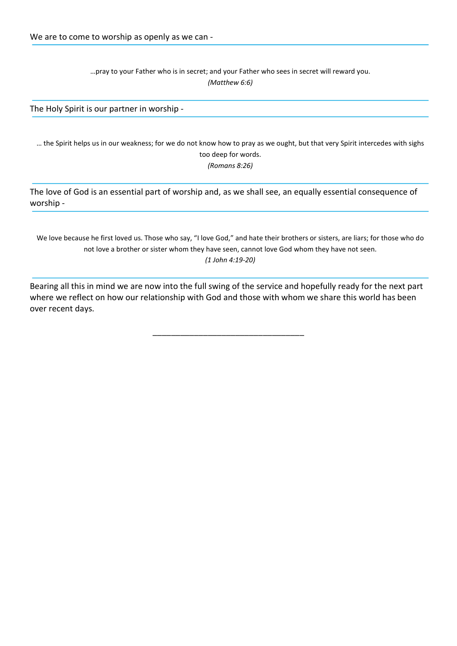…pray to your Father who is in secret; and your Father who sees in secret will reward you. (Matthew 6:6)

The Holy Spirit is our partner in worship -

… the Spirit helps us in our weakness; for we do not know how to pray as we ought, but that very Spirit intercedes with sighs too deep for words. (Romans 8:26)

The love of God is an essential part of worship and, as we shall see, an equally essential consequence of worship -

We love because he first loved us. Those who say, "I love God," and hate their brothers or sisters, are liars; for those who do not love a brother or sister whom they have seen, cannot love God whom they have not seen.

(1 John 4:19-20)

Bearing all this in mind we are now into the full swing of the service and hopefully ready for the next part where we reflect on how our relationship with God and those with whom we share this world has been over recent days.

\_\_\_\_\_\_\_\_\_\_\_\_\_\_\_\_\_\_\_\_\_\_\_\_\_\_\_\_\_\_\_\_\_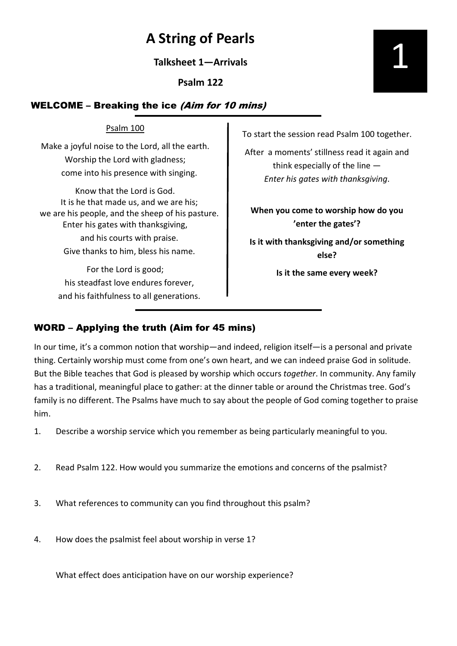# A String of Pearls

Talksheet 1—Arrivals

Psalm 122

## WELCOME – Breaking the ice (Aim for 10 mins)

### Psalm 100

Make a joyful noise to the Lord, all the earth. Worship the Lord with gladness; come into his presence with singing.

Know that the Lord is God. It is he that made us, and we are his; we are his people, and the sheep of his pasture. Enter his gates with thanksgiving, and his courts with praise. Give thanks to him, bless his name.

For the Lord is good; his steadfast love endures forever, and his faithfulness to all generations. To start the session read Psalm 100 together.

After a moments' stillness read it again and think especially of the line — Enter his gates with thanksgiving.

When you come to worship how do you 'enter the gates'?

Is it with thanksgiving and/or something else?

Is it the same every week?

## WORD – Applying the truth (Aim for 45 mins)

In our time, it's a common notion that worship—and indeed, religion itself—is a personal and private thing. Certainly worship must come from one's own heart, and we can indeed praise God in solitude. But the Bible teaches that God is pleased by worship which occurs together. In community. Any family has a traditional, meaningful place to gather: at the dinner table or around the Christmas tree. God's family is no different. The Psalms have much to say about the people of God coming together to praise him.

- 1. Describe a worship service which you remember as being particularly meaningful to you.
- 2. Read Psalm 122. How would you summarize the emotions and concerns of the psalmist?
- 3. What references to community can you find throughout this psalm?
- 4. How does the psalmist feel about worship in verse 1?

What effect does anticipation have on our worship experience?